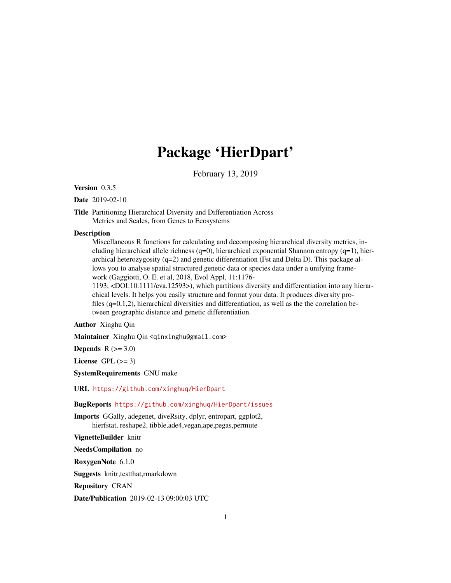# Package 'HierDpart'

February 13, 2019

Version 0.3.5

Date 2019-02-10

Title Partitioning Hierarchical Diversity and Differentiation Across Metrics and Scales, from Genes to Ecosystems

#### **Description**

Miscellaneous R functions for calculating and decomposing hierarchical diversity metrics, including hierarchical allele richness (q=0), hierarchical exponential Shannon entropy (q=1), hierarchical heterozygosity (q=2) and genetic differentiation (Fst and Delta D). This package allows you to analyse spatial structured genetic data or species data under a unifying framework (Gaggiotti, O. E. et al, 2018, Evol Appl, 11:1176-

1193; <DOI:10.1111/eva.12593>), which partitions diversity and differentiation into any hierarchical levels. It helps you easily structure and format your data. It produces diversity profiles (q=0,1,2), hierarchical diversities and differentiation, as well as the the correlation between geographic distance and genetic differentiation.

# Author Xinghu Qin

Maintainer Xinghu Qin <qinxinghu@gmail.com>

Depends  $R$  ( $>= 3.0$ )

License GPL  $(>= 3)$ 

SystemRequirements GNU make

URL <https://github.com/xinghuq/HierDpart>

# BugReports <https://github.com/xinghuq/HierDpart/issues>

Imports GGally, adegenet, diveRsity, dplyr, entropart, ggplot2, hierfstat, reshape2, tibble,ade4,vegan,ape,pegas,permute

VignetteBuilder knitr

NeedsCompilation no

RoxygenNote 6.1.0

Suggests knitr,testthat,rmarkdown

Repository CRAN

Date/Publication 2019-02-13 09:00:03 UTC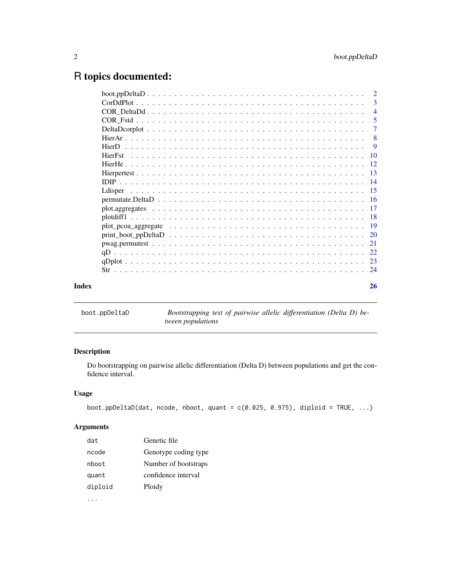# <span id="page-1-0"></span>R topics documented:

|       | -3                         |
|-------|----------------------------|
|       | $\overline{4}$             |
|       | $\overline{\phantom{0}}$ 5 |
|       | -7                         |
|       |                            |
|       |                            |
|       |                            |
|       |                            |
|       |                            |
|       |                            |
|       |                            |
|       |                            |
|       |                            |
|       |                            |
|       |                            |
|       |                            |
|       |                            |
|       |                            |
|       |                            |
|       |                            |
| Index | 26                         |
|       |                            |

boot.ppDeltaD *Bootstrapping test of pairwise allelic differentiation (Delta D) between populations*

# Description

Do bootstrapping on pairwise allelic differentiation (Delta D) between populations and get the confidence interval.

# Usage

```
boot.ppDeltaD(dat, ncode, nboot, quant = c(0.025, 0.975), diploid = TRUE, ...)
```
# Arguments

| dat     | Genetic file         |
|---------|----------------------|
| ncode   | Genotype coding type |
| nboot   | Number of bootstraps |
| quant   | confidence interval  |
| diploid | Ploidy               |
|         |                      |

...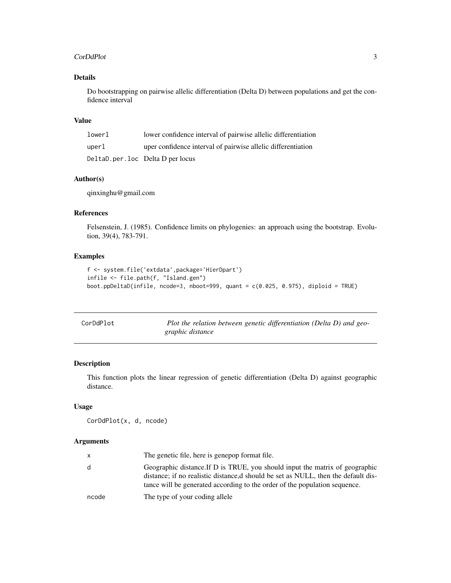#### <span id="page-2-0"></span>CorDdPlot 3

# Details

Do bootstrapping on pairwise allelic differentiation (Delta D) between populations and get the confidence interval

#### Value

| lowerl | lower confidence interval of pairwise allelic differentiation |
|--------|---------------------------------------------------------------|
| uperl  | uper confidence interval of pairwise allelic differentiation  |
|        | DeltaD.per.loc Delta D per locus                              |

# Author(s)

qinxinghu@gmail.com

## References

Felsenstein, J. (1985). Confidence limits on phylogenies: an approach using the bootstrap. Evolution, 39(4), 783-791.

# Examples

```
f <- system.file('extdata',package='HierDpart')
infile <- file.path(f, "Island.gen")
boot.ppDeltaD(infile, ncode=3, nboot=999, quant = c(0.025, 0.975), diploid = TRUE)
```

| CorDdPlot | Plot the relation between genetic differentiation (Delta D) and geo- |
|-----------|----------------------------------------------------------------------|
|           | graphic distance                                                     |

# Description

This function plots the linear regression of genetic differentiation (Delta D) against geographic distance.

# Usage

```
CorDdPlot(x, d, ncode)
```
# Arguments

| X     | The genetic file, here is genepop format file.                                                                                                                                                                                                   |
|-------|--------------------------------------------------------------------------------------------------------------------------------------------------------------------------------------------------------------------------------------------------|
| d     | Geographic distance. If D is TRUE, you should input the matrix of geographic<br>distance; if no realistic distance, d should be set as NULL, then the default dis-<br>tance will be generated according to the order of the population sequence. |
| ncode | The type of your coding allele                                                                                                                                                                                                                   |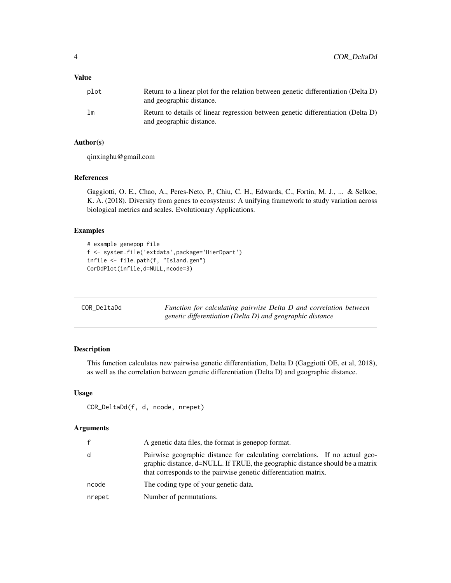## <span id="page-3-0"></span>Value

| plot           | Return to a linear plot for the relation between genetic differentiation (Delta D)<br>and geographic distance. |
|----------------|----------------------------------------------------------------------------------------------------------------|
| 1 <sub>m</sub> | Return to details of linear regression between genetic differentiation (Delta D)<br>and geographic distance.   |

# Author(s)

qinxinghu@gmail.com

## References

Gaggiotti, O. E., Chao, A., Peres-Neto, P., Chiu, C. H., Edwards, C., Fortin, M. J., ... & Selkoe, K. A. (2018). Diversity from genes to ecosystems: A unifying framework to study variation across biological metrics and scales. Evolutionary Applications.

# Examples

```
# example genepop file
f <- system.file('extdata',package='HierDpart')
infile <- file.path(f, "Island.gen")
CorDdPlot(infile,d=NULL,ncode=3)
```

| COR DeltaDd | Function for calculating pairwise Delta D and correlation between |
|-------------|-------------------------------------------------------------------|
|             | genetic differentiation (Delta D) and geographic distance         |

# Description

This function calculates new pairwise genetic differentiation, Delta D (Gaggiotti OE, et al, 2018), as well as the correlation between genetic differentiation (Delta D) and geographic distance.

# Usage

```
COR_DeltaDd(f, d, ncode, nrepet)
```
# Arguments

| f      | A genetic data files, the format is genepop format.                                                                                                                                                                               |
|--------|-----------------------------------------------------------------------------------------------------------------------------------------------------------------------------------------------------------------------------------|
| d      | Pairwise geographic distance for calculating correlations. If no actual geo-<br>graphic distance, d=NULL. If TRUE, the geographic distance should be a matrix<br>that corresponds to the pairwise genetic differentiation matrix. |
| ncode  | The coding type of your genetic data.                                                                                                                                                                                             |
| nrepet | Number of permutations.                                                                                                                                                                                                           |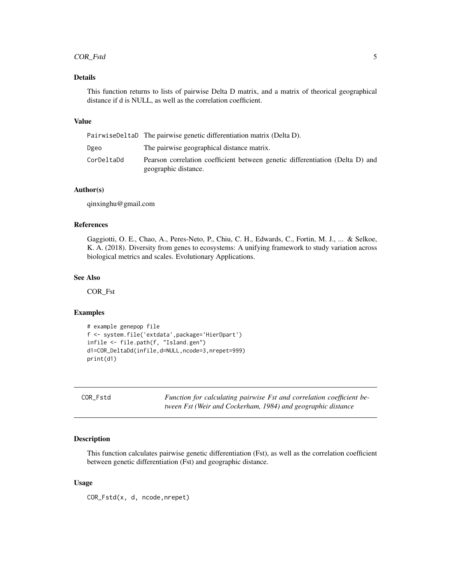# <span id="page-4-0"></span>COR\_Fstd 5

# Details

This function returns to lists of pairwise Delta D matrix, and a matrix of theorical geographical distance if d is NULL, as well as the correlation coefficient.

# Value

|            | PairwiseDeltaD The pairwise genetic differentiation matrix (Delta D).                                 |
|------------|-------------------------------------------------------------------------------------------------------|
| Dgeo       | The pairwise geographical distance matrix.                                                            |
| CorDeltaDd | Pearson correlation coefficient between genetic differentiation (Delta D) and<br>geographic distance. |

### Author(s)

qinxinghu@gmail.com

#### References

Gaggiotti, O. E., Chao, A., Peres-Neto, P., Chiu, C. H., Edwards, C., Fortin, M. J., ... & Selkoe, K. A. (2018). Diversity from genes to ecosystems: A unifying framework to study variation across biological metrics and scales. Evolutionary Applications.

#### See Also

COR\_Fst

#### Examples

```
# example genepop file
f <- system.file('extdata',package='HierDpart')
infile <- file.path(f, "Island.gen")
d1=COR_DeltaDd(infile,d=NULL,ncode=3,nrepet=999)
print(d1)
```
COR\_Fstd *Function for calculating pairwise Fst and correlation coefficient between Fst (Weir and Cockerham, 1984) and geographic distance*

#### Description

This function calculates pairwise genetic differentiation (Fst), as well as the correlation coefficient between genetic differentiation (Fst) and geographic distance.

#### Usage

COR\_Fstd(x, d, ncode,nrepet)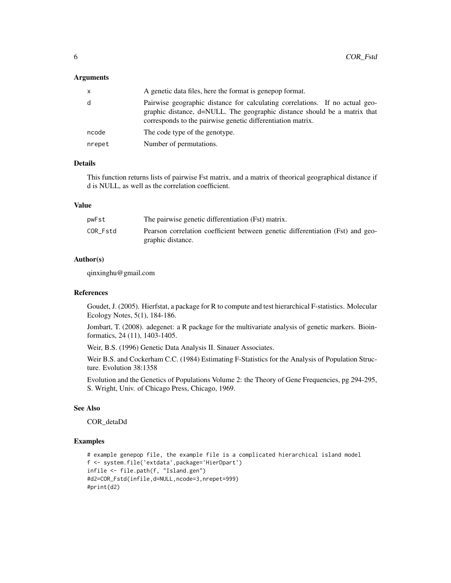#### **Arguments**

| X      | A genetic data files, here the format is generop format.                                                                                                                                                                 |
|--------|--------------------------------------------------------------------------------------------------------------------------------------------------------------------------------------------------------------------------|
| d      | Pairwise geographic distance for calculating correlations. If no actual geo-<br>graphic distance, d=NULL. The geographic distance should be a matrix that<br>corresponds to the pairwise genetic differentiation matrix. |
| ncode  | The code type of the genotype.                                                                                                                                                                                           |
| nrepet | Number of permutations.                                                                                                                                                                                                  |

# Details

This function returns lists of pairwise Fst matrix, and a matrix of theorical geographical distance if d is NULL, as well as the correlation coefficient.

#### Value

| pwFst    | The pairwise genetic differentiation (Fst) matrix.                                                  |
|----------|-----------------------------------------------------------------------------------------------------|
| COR Fstd | Pearson correlation coefficient between genetic differentiation (Fst) and geo-<br>graphic distance. |

# Author(s)

qinxinghu@gmail.com

#### References

Goudet, J. (2005). Hierfstat, a package for R to compute and test hierarchical F-statistics. Molecular Ecology Notes, 5(1), 184-186.

Jombart, T. (2008). adegenet: a R package for the multivariate analysis of genetic markers. Bioinformatics, 24 (11), 1403-1405.

Weir, B.S. (1996) Genetic Data Analysis II. Sinauer Associates.

Weir B.S. and Cockerham C.C. (1984) Estimating F-Statistics for the Analysis of Population Structure. Evolution 38:1358

Evolution and the Genetics of Populations Volume 2: the Theory of Gene Frequencies, pg 294-295, S. Wright, Univ. of Chicago Press, Chicago, 1969.

#### See Also

COR\_detaDd

```
# example genepop file, the example file is a complicated hierarchical island model
f <- system.file('extdata',package='HierDpart')
infile <- file.path(f, "Island.gen")
#d2=COR_Fstd(infile,d=NULL,ncode=3,nrepet=999)
#print(d2)
```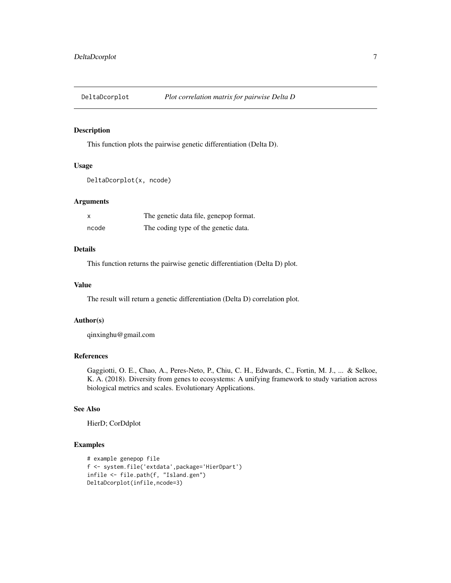<span id="page-6-0"></span>

# Description

This function plots the pairwise genetic differentiation (Delta D).

# Usage

```
DeltaDcorplot(x, ncode)
```
#### Arguments

|       | The genetic data file, genepop format. |
|-------|----------------------------------------|
| ncode | The coding type of the genetic data.   |

# Details

This function returns the pairwise genetic differentiation (Delta D) plot.

# Value

The result will return a genetic differentiation (Delta D) correlation plot.

#### Author(s)

qinxinghu@gmail.com

# References

Gaggiotti, O. E., Chao, A., Peres-Neto, P., Chiu, C. H., Edwards, C., Fortin, M. J., ... & Selkoe, K. A. (2018). Diversity from genes to ecosystems: A unifying framework to study variation across biological metrics and scales. Evolutionary Applications.

# See Also

HierD; CorDdplot

```
# example genepop file
f <- system.file('extdata',package='HierDpart')
infile <- file.path(f, "Island.gen")
DeltaDcorplot(infile,ncode=3)
```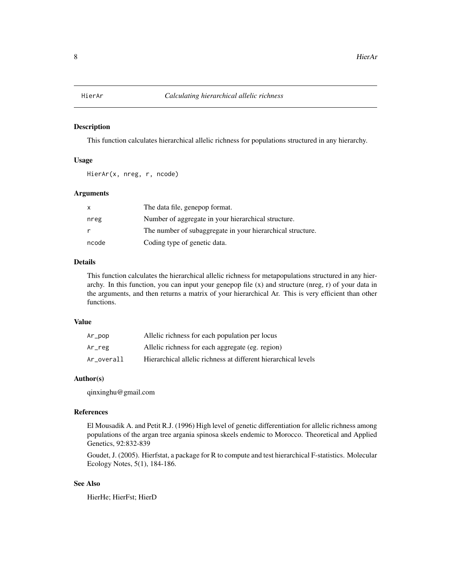<span id="page-7-0"></span>

#### Description

This function calculates hierarchical allelic richness for populations structured in any hierarchy.

#### Usage

HierAr(x, nreg, r, ncode)

# Arguments

| X     | The data file, genepop format.                             |
|-------|------------------------------------------------------------|
| nreg  | Number of aggregate in your hierarchical structure.        |
| r     | The number of subaggregate in your hierarchical structure. |
| ncode | Coding type of genetic data.                               |

#### Details

This function calculates the hierarchical allelic richness for metapopulations structured in any hierarchy. In this function, you can input your genepop file  $(x)$  and structure (nreg, r) of your data in the arguments, and then returns a matrix of your hierarchical Ar. This is very efficient than other functions.

### Value

| $Ar\_pop$  | Allelic richness for each population per locus                 |
|------------|----------------------------------------------------------------|
| Ar_reg     | Allelic richness for each aggregate (eg. region)               |
| Ar overall | Hierarchical allelic richness at different hierarchical levels |

#### Author(s)

qinxinghu@gmail.com

#### References

El Mousadik A. and Petit R.J. (1996) High level of genetic differentiation for allelic richness among populations of the argan tree argania spinosa skeels endemic to Morocco. Theoretical and Applied Genetics, 92:832-839

Goudet, J. (2005). Hierfstat, a package for R to compute and test hierarchical F-statistics. Molecular Ecology Notes, 5(1), 184-186.

#### See Also

HierHe; HierFst; HierD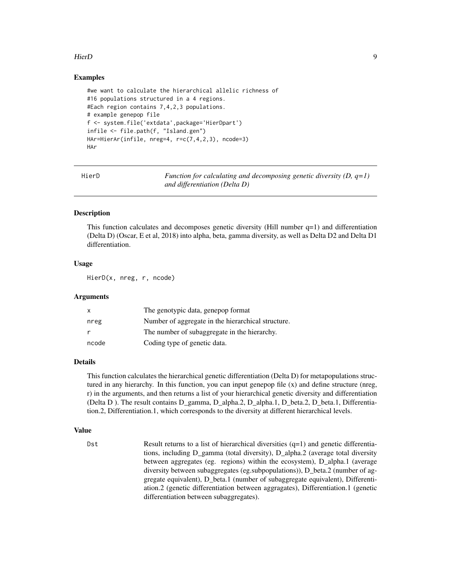#### <span id="page-8-0"></span>HierD 9

### Examples

```
#we want to calculate the hierarchical allelic richness of
#16 populations structured in a 4 regions.
#Each region contains 7,4,2,3 populations.
# example genepop file
f <- system.file('extdata',package='HierDpart')
infile <- file.path(f, "Island.gen")
HAr=HierAr(infile, nreg=4, r=c(7,4,2,3), ncode=3)
HAr
```
HierD *Function for calculating and decomposing genetic diversity (D, q=1) and differentiation (Delta D)*

## Description

This function calculates and decomposes genetic diversity (Hill number  $q=1$ ) and differentiation (Delta D) (Oscar, E et al, 2018) into alpha, beta, gamma diversity, as well as Delta D2 and Delta D1 differentiation.

#### Usage

HierD(x, nreg, r, ncode)

#### Arguments

| x     | The genotypic data, genepop format                 |
|-------|----------------------------------------------------|
| nreg  | Number of aggregate in the hierarchical structure. |
|       | The number of subaggregate in the hierarchy.       |
| ncode | Coding type of genetic data.                       |

# Details

This function calculates the hierarchical genetic differentiation (Delta D) for metapopulations structured in any hierarchy. In this function, you can input genepop file (x) and define structure (nreg, r) in the arguments, and then returns a list of your hierarchical genetic diversity and differentiation (Delta D ). The result contains D\_gamma, D\_alpha.2, D\_alpha.1, D\_beta.2, D\_beta.1, Differentiation.2, Differentiation.1, which corresponds to the diversity at different hierarchical levels.

#### Value

Dst Result returns to a list of hierarchical diversities  $(q=1)$  and genetic differentiations, including D\_gamma (total diversity), D\_alpha.2 (average total diversity between aggregates (eg. regions) within the ecosystem), D\_alpha.1 (average diversity between subaggregates (eg.subpopulations)), D\_beta.2 (number of aggregate equivalent), D\_beta.1 (number of subaggregate equivalent), Differentiation.2 (genetic differentiation between aggragates), Differentiation.1 (genetic differentiation between subaggregates).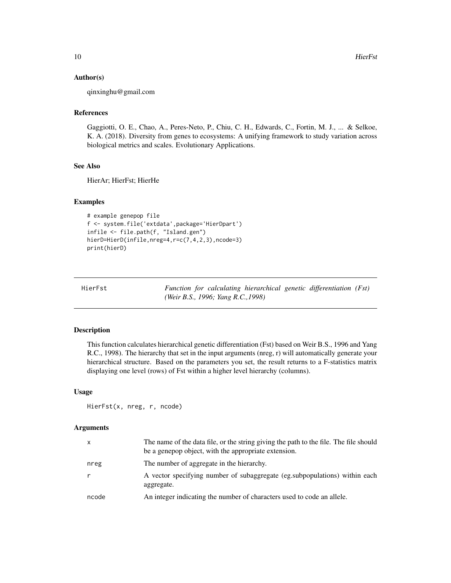#### Author(s)

qinxinghu@gmail.com

# References

Gaggiotti, O. E., Chao, A., Peres-Neto, P., Chiu, C. H., Edwards, C., Fortin, M. J., ... & Selkoe, K. A. (2018). Diversity from genes to ecosystems: A unifying framework to study variation across biological metrics and scales. Evolutionary Applications.

#### See Also

HierAr; HierFst; HierHe

#### Examples

```
# example genepop file
f <- system.file('extdata',package='HierDpart')
infile <- file.path(f, "Island.gen")
hierD=HierD(infile,nreg=4,r=c(7,4,2,3),ncode=3)
print(hierD)
```

| HierFst |  |                                    |  | Function for calculating hierarchical genetic differentiation (Fst) |  |
|---------|--|------------------------------------|--|---------------------------------------------------------------------|--|
|         |  | (Weir B.S., 1996; Yang R.C., 1998) |  |                                                                     |  |

#### Description

This function calculates hierarchical genetic differentiation (Fst) based on Weir B.S., 1996 and Yang R.C., 1998). The hierarchy that set in the input arguments (nreg, r) will automatically generate your hierarchical structure. Based on the parameters you set, the result returns to a F-statistics matrix displaying one level (rows) of Fst within a higher level hierarchy (columns).

#### Usage

```
HierFst(x, nreg, r, ncode)
```
#### Arguments

| $\mathsf{x}$ | The name of the data file, or the string giving the path to the file. The file should<br>be a genepop object, with the appropriate extension. |
|--------------|-----------------------------------------------------------------------------------------------------------------------------------------------|
| nreg         | The number of aggregate in the hierarchy.                                                                                                     |
| r            | A vector specifying number of subaggregate (eg. subpopulations) within each<br>aggregate.                                                     |
| ncode        | An integer indicating the number of characters used to code an allele.                                                                        |

<span id="page-9-0"></span>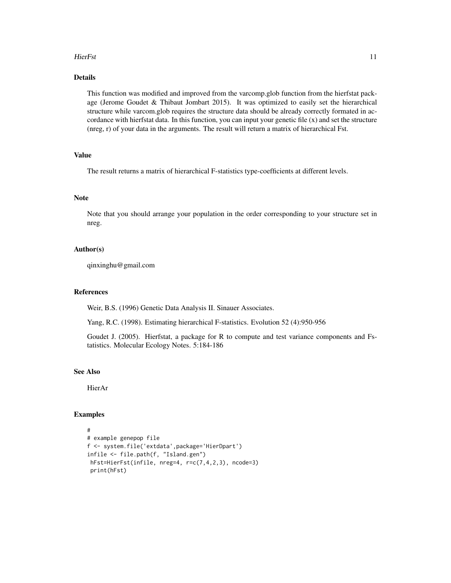#### HierFst 11

# Details

This function was modified and improved from the varcomp.glob function from the hierfstat package (Jerome Goudet & Thibaut Jombart 2015). It was optimized to easily set the hierarchical structure while varcom.glob requires the structure data should be already correctly formated in accordance with hierfstat data. In this function, you can input your genetic file  $(x)$  and set the structure (nreg, r) of your data in the arguments. The result will return a matrix of hierarchical Fst.

# Value

The result returns a matrix of hierarchical F-statistics type-coefficients at different levels.

#### Note

Note that you should arrange your population in the order corresponding to your structure set in nreg.

#### Author(s)

qinxinghu@gmail.com

# References

Weir, B.S. (1996) Genetic Data Analysis II. Sinauer Associates.

Yang, R.C. (1998). Estimating hierarchical F-statistics. Evolution 52 (4):950-956

Goudet J. (2005). Hierfstat, a package for R to compute and test variance components and Fstatistics. Molecular Ecology Notes. 5:184-186

#### See Also

HierAr

```
#
# example genepop file
f <- system.file('extdata',package='HierDpart')
infile <- file.path(f, "Island.gen")
hFst=HierFst(infile, nreg=4, r=c(7,4,2,3), ncode=3)
print(hFst)
```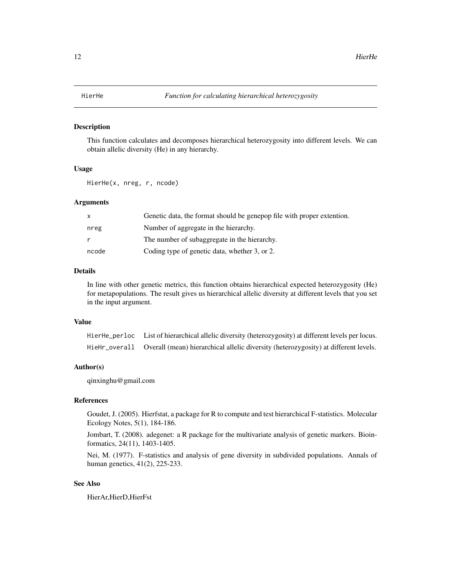#### <span id="page-11-0"></span>Description

This function calculates and decomposes hierarchical heterozygosity into different levels. We can obtain allelic diversity (He) in any hierarchy.

#### Usage

HierHe(x, nreg, r, ncode)

# Arguments

|       | Genetic data, the format should be genepop file with proper extention. |
|-------|------------------------------------------------------------------------|
| nreg  | Number of aggregate in the hierarchy.                                  |
|       | The number of subaggregate in the hierarchy.                           |
| ncode | Coding type of genetic data, whether 3, or 2.                          |

# Details

In line with other genetic metrics, this function obtains hierarchical expected heterozygosity (He) for metapopulations. The result gives us hierarchical allelic diversity at different levels that you set in the input argument.

#### Value

| HierHe_perloc List of hierarchical allelic diversity (heterozygosity) at different levels per locus. |
|------------------------------------------------------------------------------------------------------|
| HieHr_overall Overall (mean) hierarchical allelic diversity (heterozygosity) at different levels.    |

#### Author(s)

qinxinghu@gmail.com

#### References

Goudet, J. (2005). Hierfstat, a package for R to compute and test hierarchical F-statistics. Molecular Ecology Notes, 5(1), 184-186.

Jombart, T. (2008). adegenet: a R package for the multivariate analysis of genetic markers. Bioinformatics, 24(11), 1403-1405.

Nei, M. (1977). F-statistics and analysis of gene diversity in subdivided populations. Annals of human genetics, 41(2), 225-233.

#### See Also

HierAr,HierD,HierFst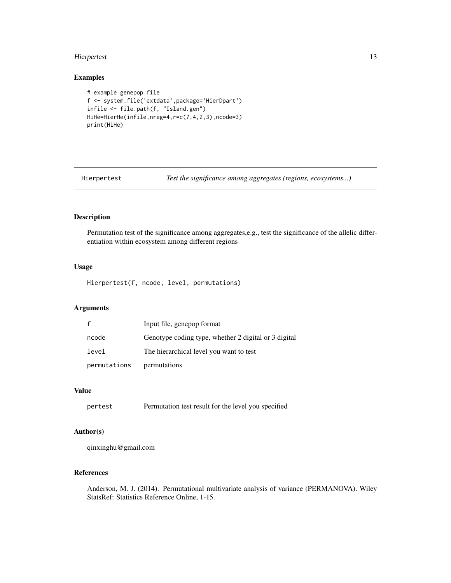# <span id="page-12-0"></span>Hierpertest 13

# Examples

```
# example genepop file
f <- system.file('extdata',package='HierDpart')
infile <- file.path(f, "Island.gen")
HiHe=HierHe(infile,nreg=4,r=c(7,4,2,3),ncode=3)
print(HiHe)
```
Hierpertest *Test the significance among aggregates (regions, ecosystems...)*

### Description

Permutation test of the significance among aggregates,e.g., test the significance of the allelic differentiation within ecosystem among different regions

# Usage

Hierpertest(f, ncode, level, permutations)

# Arguments

|              | Input file, genepop format                           |
|--------------|------------------------------------------------------|
| ncode        | Genotype coding type, whether 2 digital or 3 digital |
| level        | The hierarchical level you want to test              |
| permutations | permutations                                         |

#### Value

```
pertest Permutation test result for the level you specified
```
#### Author(s)

qinxinghu@gmail.com

# References

Anderson, M. J. (2014). Permutational multivariate analysis of variance (PERMANOVA). Wiley StatsRef: Statistics Reference Online, 1-15.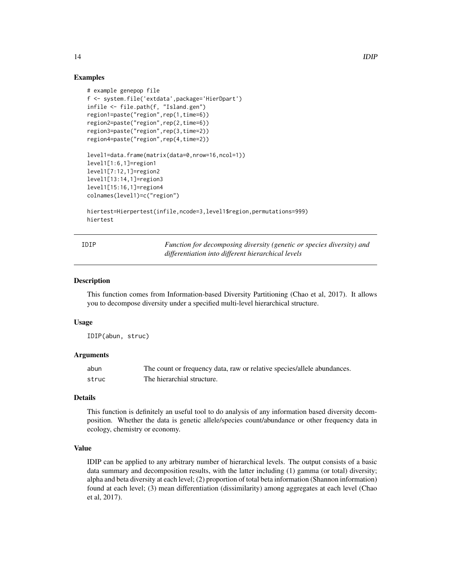#### Examples

```
# example genepop file
f <- system.file('extdata',package='HierDpart')
infile <- file.path(f, "Island.gen")
region1=paste("region",rep(1,time=6))
region2=paste("region",rep(2,time=6))
region3=paste("region",rep(3,time=2))
region4=paste("region",rep(4,time=2))
level1=data.frame(matrix(data=0,nrow=16,ncol=1))
level1[1:6,1]=region1
level1[7:12,1]=region2
level1[13:14,1]=region3
level1[15:16,1]=region4
colnames(level1)=c("region")
hiertest=Hierpertest(infile,ncode=3,level1$region,permutations=999)
```
hiertest

| IDIP | Function for decomposing diversity (genetic or species diversity) and |
|------|-----------------------------------------------------------------------|
|      | differentiation into different hierarchical levels                    |

#### **Description**

This function comes from Information-based Diversity Partitioning (Chao et al, 2017). It allows you to decompose diversity under a specified multi-level hierarchical structure.

#### Usage

IDIP(abun, struc)

#### Arguments

| abun  | The count or frequency data, raw or relative species/allele abundances. |
|-------|-------------------------------------------------------------------------|
| struc | The hierarchial structure.                                              |

#### Details

This function is definitely an useful tool to do analysis of any information based diversity decomposition. Whether the data is genetic allele/species count/abundance or other frequency data in ecology, chemistry or economy.

#### Value

IDIP can be applied to any arbitrary number of hierarchical levels. The output consists of a basic data summary and decomposition results, with the latter including (1) gamma (or total) diversity; alpha and beta diversity at each level; (2) proportion of total beta information (Shannon information) found at each level; (3) mean differentiation (dissimilarity) among aggregates at each level (Chao et al, 2017).

<span id="page-13-0"></span>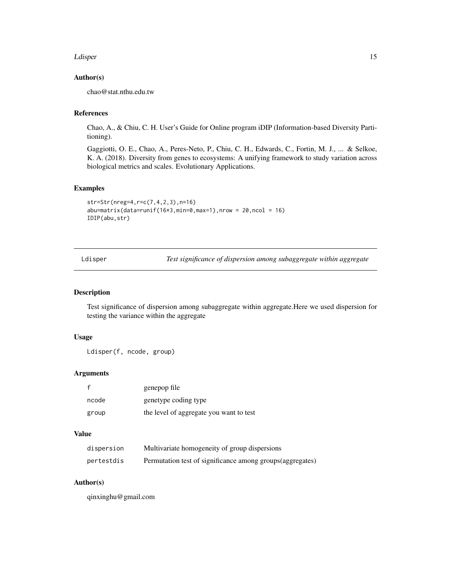#### <span id="page-14-0"></span>Ldisper 15

# Author(s)

chao@stat.nthu.edu.tw

# References

Chao, A., & Chiu, C. H. User's Guide for Online program iDIP (Information-based Diversity Partitioning).

Gaggiotti, O. E., Chao, A., Peres-Neto, P., Chiu, C. H., Edwards, C., Fortin, M. J., ... & Selkoe, K. A. (2018). Diversity from genes to ecosystems: A unifying framework to study variation across biological metrics and scales. Evolutionary Applications.

#### Examples

```
str=Str(nreg=4,r=c(7,4,2,3),n=16)
abu=matrix(data=runif(16*3,min=0,max=1), nrow = 20, ncol = 16)
IDIP(abu,str)
```
Ldisper *Test significance of dispersion among subaggregate within aggregate*

# Description

Test significance of dispersion among subaggregate within aggregate.Here we used dispersion for testing the variance within the aggregate

# Usage

Ldisper(f, ncode, group)

# Arguments

|       | genepop file                            |
|-------|-----------------------------------------|
| ncode | genetype coding type                    |
| group | the level of aggregate you want to test |

# Value

| dispersion | Multivariate homogeneity of group dispersions             |
|------------|-----------------------------------------------------------|
| pertestdis | Permutation test of significance among groups(aggregates) |

# Author(s)

qinxinghu@gmail.com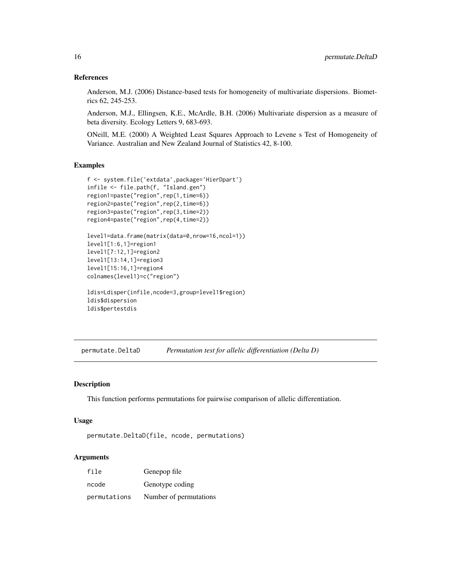#### References

Anderson, M.J. (2006) Distance-based tests for homogeneity of multivariate dispersions. Biometrics 62, 245-253.

Anderson, M.J., Ellingsen, K.E., McArdle, B.H. (2006) Multivariate dispersion as a measure of beta diversity. Ecology Letters 9, 683-693.

ONeill, M.E. (2000) A Weighted Least Squares Approach to Levene s Test of Homogeneity of Variance. Australian and New Zealand Journal of Statistics 42, 8-100.

#### Examples

```
f <- system.file('extdata',package='HierDpart')
infile <- file.path(f, "Island.gen")
region1=paste("region",rep(1,time=6))
region2=paste("region",rep(2,time=6))
region3=paste("region",rep(3,time=2))
region4=paste("region",rep(4,time=2))
level1=data.frame(matrix(data=0,nrow=16,ncol=1))
level1[1:6,1]=region1
level1[7:12,1]=region2
level1[13:14,1]=region3
```

```
level1[15:16,1]=region4
colnames(level1)=c("region")
```

```
ldis=Ldisper(infile,ncode=3,group=level1$region)
ldis$dispersion
ldis$pertestdis
```
permutate.DeltaD *Permutation test for allelic differentiation (Delta D)*

#### Description

This function performs permutations for pairwise comparison of allelic differentiation.

#### Usage

```
permutate.DeltaD(file, ncode, permutations)
```
#### Arguments

| file         | Genepop file           |
|--------------|------------------------|
| ncode        | Genotype coding        |
| permutations | Number of permutations |

<span id="page-15-0"></span>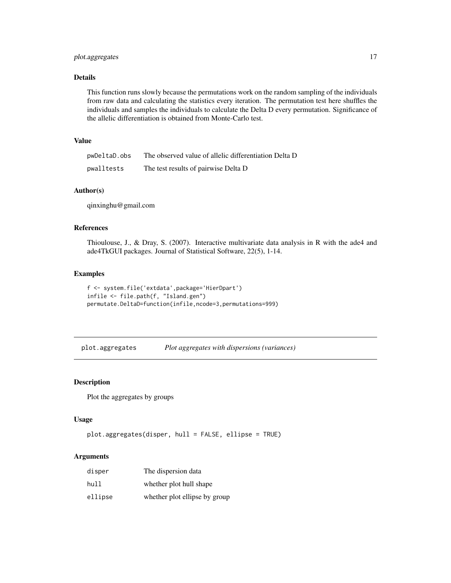# <span id="page-16-0"></span>plot.aggregates 17

## Details

This function runs slowly because the permutations work on the random sampling of the individuals from raw data and calculating the statistics every iteration. The permutation test here shuffles the individuals and samples the individuals to calculate the Delta D every permutation. Significance of the allelic differentiation is obtained from Monte-Carlo test.

# Value

| pwDeltaD.obs | The observed value of allelic differentiation Delta D |
|--------------|-------------------------------------------------------|
| pwalltests   | The test results of pairwise Delta D                  |

# Author(s)

qinxinghu@gmail.com

## References

Thioulouse, J., & Dray, S. (2007). Interactive multivariate data analysis in R with the ade4 and ade4TkGUI packages. Journal of Statistical Software, 22(5), 1-14.

#### Examples

```
f <- system.file('extdata',package='HierDpart')
infile <- file.path(f, "Island.gen")
permutate.DeltaD=function(infile,ncode=3,permutations=999)
```
plot.aggregates *Plot aggregates with dispersions (variances)*

#### Description

Plot the aggregates by groups

#### Usage

```
plot.aggregates(disper, hull = FALSE, ellipse = TRUE)
```
#### Arguments

| disper  | The dispersion data           |
|---------|-------------------------------|
| hull    | whether plot hull shape       |
| ellipse | whether plot ellipse by group |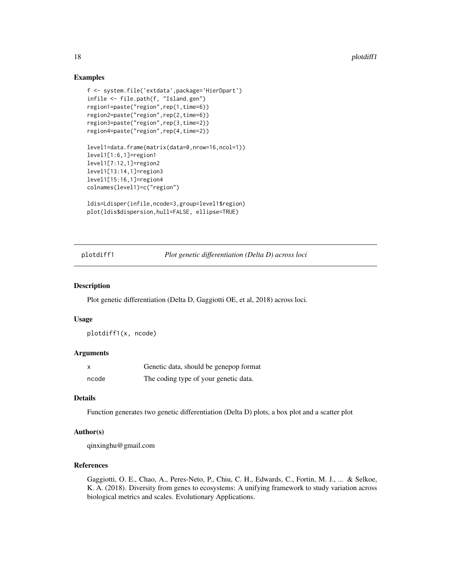# Examples

```
f <- system.file('extdata',package='HierDpart')
infile <- file.path(f, "Island.gen")
region1=paste("region",rep(1,time=6))
region2=paste("region",rep(2,time=6))
region3=paste("region",rep(3,time=2))
region4=paste("region",rep(4,time=2))
level1=data.frame(matrix(data=0,nrow=16,ncol=1))
level1[1:6,1]=region1
level1[7:12,1]=region2
level1[13:14,1]=region3
level1[15:16,1]=region4
colnames(level1)=c("region")
ldis=Ldisper(infile,ncode=3,group=level1$region)
```

```
plot(ldis$dispersion,hull=FALSE, ellipse=TRUE)
```
plotdiff1 *Plot genetic differentiation (Delta D) across loci*

#### Description

Plot genetic differentiation (Delta D, Gaggiotti OE, et al, 2018) across loci.

#### Usage

plotdiff1(x, ncode)

#### Arguments

| x     | Genetic data, should be genepop format |
|-------|----------------------------------------|
| ncode | The coding type of your genetic data.  |

#### Details

Function generates two genetic differentiation (Delta D) plots, a box plot and a scatter plot

#### Author(s)

qinxinghu@gmail.com

# References

Gaggiotti, O. E., Chao, A., Peres-Neto, P., Chiu, C. H., Edwards, C., Fortin, M. J., ... & Selkoe, K. A. (2018). Diversity from genes to ecosystems: A unifying framework to study variation across biological metrics and scales. Evolutionary Applications.

<span id="page-17-0"></span>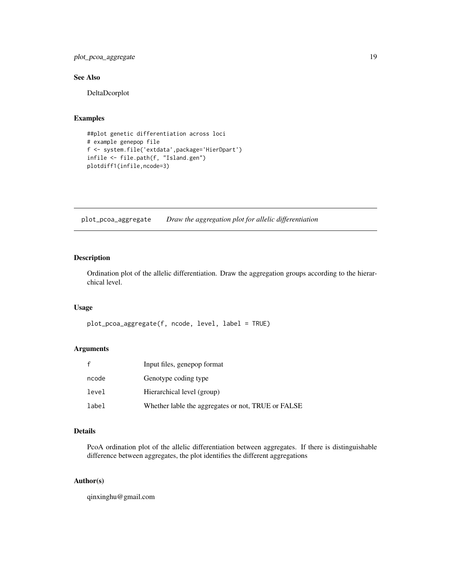<span id="page-18-0"></span>plot\_pcoa\_aggregate 19

## See Also

DeltaDcorplot

#### Examples

```
##plot genetic differentiation across loci
# example genepop file
f <- system.file('extdata',package='HierDpart')
infile <- file.path(f, "Island.gen")
plotdiff1(infile,ncode=3)
```
plot\_pcoa\_aggregate *Draw the aggregation plot for allelic differentiation*

# Description

Ordination plot of the allelic differentiation. Draw the aggregation groups according to the hierarchical level.

# Usage

```
plot_pcoa_aggregate(f, ncode, level, label = TRUE)
```
# Arguments

| f     | Input files, genepop format                        |
|-------|----------------------------------------------------|
| ncode | Genotype coding type                               |
| level | Hierarchical level (group)                         |
| label | Whether lable the aggregates or not, TRUE or FALSE |

#### Details

PcoA ordination plot of the allelic differentiation between aggregates. If there is distinguishable difference between aggregates, the plot identifies the different aggregations

# Author(s)

qinxinghu@gmail.com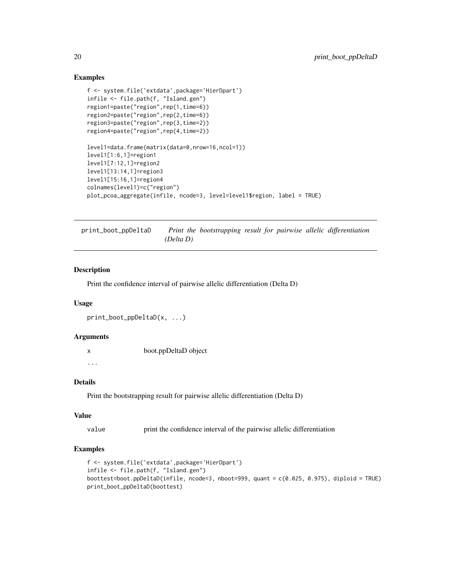### Examples

```
f <- system.file('extdata',package='HierDpart')
infile <- file.path(f, "Island.gen")
region1=paste("region",rep(1,time=6))
region2=paste("region",rep(2,time=6))
region3=paste("region",rep(3,time=2))
region4=paste("region",rep(4,time=2))
level1=data.frame(matrix(data=0,nrow=16,ncol=1))
level1[1:6,1]=region1
level1[7:12,1]=region2
level1[13:14,1]=region3
level1[15:16,1]=region4
colnames(level1)=c("region")
plot_pcoa_aggregate(infile, ncode=3, level=level1$region, label = TRUE)
```
print\_boot\_ppDeltaD *Print the bootstrapping result for pairwise allelic differentiation (Delta D)*

#### Description

Print the confidence interval of pairwise allelic differentiation (Delta D)

# Usage

```
print_boot_ppDeltaD(x, ...)
```
#### **Arguments**

x boot.ppDeltaD object

...

# Details

Print the bootstrapping result for pairwise allelic differentiation (Delta D)

#### Value

value print the confidence interval of the pairwise allelic differentiation

```
f <- system.file('extdata',package='HierDpart')
infile <- file.path(f, "Island.gen")
boottest=boot.ppDeltaD(infile, ncode=3, nboot=999, quant = c(0.025, 0.975), diploid = TRUE)
print_boot_ppDeltaD(boottest)
```
<span id="page-19-0"></span>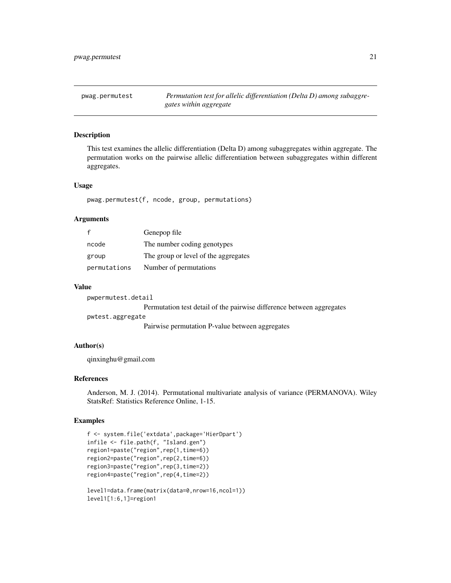<span id="page-20-0"></span>pwag.permutest *Permutation test for allelic differentiation (Delta D) among subaggregates within aggregate*

### Description

This test examines the allelic differentiation (Delta D) among subaggregates within aggregate. The permutation works on the pairwise allelic differentiation between subaggregates within different aggregates.

#### Usage

pwag.permutest(f, ncode, group, permutations)

#### Arguments

|              | Genepop file                         |
|--------------|--------------------------------------|
| ncode        | The number coding genotypes          |
| group        | The group or level of the aggregates |
| permutations | Number of permutations               |

#### Value

pwpermutest.detail

Permutation test detail of the pairwise difference between aggregates

pwtest.aggregate

Pairwise permutation P-value between aggregates

#### Author(s)

qinxinghu@gmail.com

#### References

Anderson, M. J. (2014). Permutational multivariate analysis of variance (PERMANOVA). Wiley StatsRef: Statistics Reference Online, 1-15.

```
f <- system.file('extdata',package='HierDpart')
infile <- file.path(f, "Island.gen")
region1=paste("region",rep(1,time=6))
region2=paste("region",rep(2,time=6))
region3=paste("region",rep(3,time=2))
region4=paste("region",rep(4,time=2))
level1=data.frame(matrix(data=0,nrow=16,ncol=1))
level1[1:6,1]=region1
```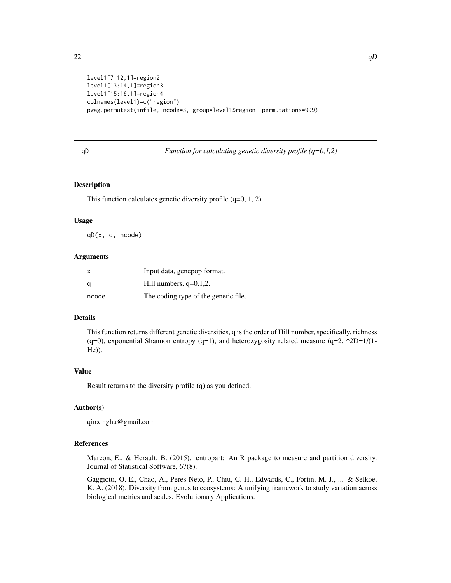```
level1[7:12,1]=region2
level1[13:14,1]=region3
level1[15:16,1]=region4
colnames(level1)=c("region")
pwag.permutest(infile, ncode=3, group=level1$region, permutations=999)
```
#### qD *Function for calculating genetic diversity profile (q=0,1,2)*

#### Description

This function calculates genetic diversity profile (q=0, 1, 2).

#### Usage

qD(x, q, ncode)

#### Arguments

| $\boldsymbol{\mathsf{x}}$ | Input data, genepop format.          |
|---------------------------|--------------------------------------|
| q                         | Hill numbers, $q=0,1,2$ .            |
| ncode                     | The coding type of the genetic file. |

# Details

This function returns different genetic diversities, q is the order of Hill number, specifically, richness (q=0), exponential Shannon entropy (q=1), and heterozygosity related measure (q=2,  $^2D=1/(1-$ He)).

#### Value

Result returns to the diversity profile (q) as you defined.

#### Author(s)

qinxinghu@gmail.com

#### References

Marcon, E., & Herault, B. (2015). entropart: An R package to measure and partition diversity. Journal of Statistical Software, 67(8).

Gaggiotti, O. E., Chao, A., Peres-Neto, P., Chiu, C. H., Edwards, C., Fortin, M. J., ... & Selkoe, K. A. (2018). Diversity from genes to ecosystems: A unifying framework to study variation across biological metrics and scales. Evolutionary Applications.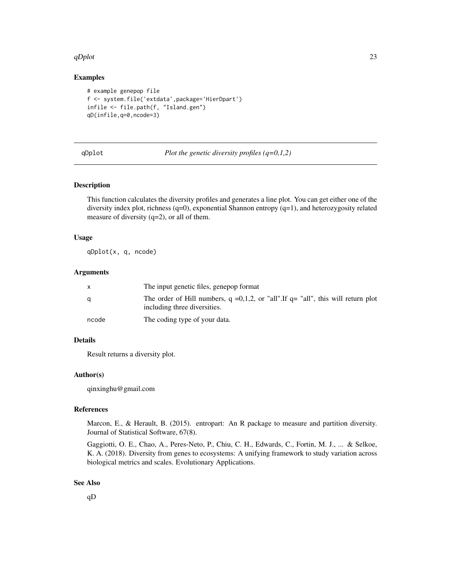#### <span id="page-22-0"></span> $qDplot$  23

### Examples

```
# example genepop file
f <- system.file('extdata',package='HierDpart')
infile <- file.path(f, "Island.gen")
qD(infile,q=0,ncode=3)
```
#### qDplot *Plot the genetic diversity profiles (q=0,1,2)*

#### Description

This function calculates the diversity profiles and generates a line plot. You can get either one of the diversity index plot, richness  $(q=0)$ , exponential Shannon entropy  $(q=1)$ , and heterozygosity related measure of diversity (q=2), or all of them.

#### Usage

qDplot(x, q, ncode)

### Arguments

|       | The input genetic files, genepop format                                                                                  |
|-------|--------------------------------------------------------------------------------------------------------------------------|
| a     | The order of Hill numbers, $q = 0,1,2$ , or "all". If $q =$ "all", this will return plot<br>including three diversities. |
| ncode | The coding type of your data.                                                                                            |

# Details

Result returns a diversity plot.

#### Author(s)

qinxinghu@gmail.com

# References

Marcon, E., & Herault, B. (2015). entropart: An R package to measure and partition diversity. Journal of Statistical Software, 67(8).

Gaggiotti, O. E., Chao, A., Peres-Neto, P., Chiu, C. H., Edwards, C., Fortin, M. J., ... & Selkoe, K. A. (2018). Diversity from genes to ecosystems: A unifying framework to study variation across biological metrics and scales. Evolutionary Applications.

#### See Also

qD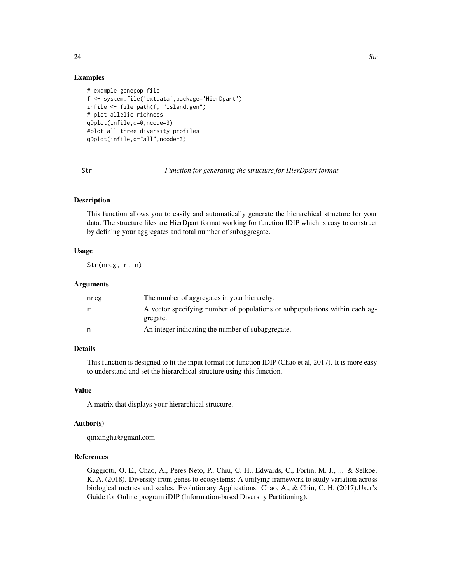# <span id="page-23-0"></span>Examples

```
# example genepop file
f <- system.file('extdata',package='HierDpart')
infile <- file.path(f, "Island.gen")
# plot allelic richness
qDplot(infile,q=0,ncode=3)
#plot all three diversity profiles
qDplot(infile,q="all",ncode=3)
```
Str *Function for generating the structure for HierDpart format*

# Description

This function allows you to easily and automatically generate the hierarchical structure for your data. The structure files are HierDpart format working for function IDIP which is easy to construct by defining your aggregates and total number of subaggregate.

#### Usage

Str(nreg, r, n)

# Arguments

| nreg | The number of aggregates in your hierarchy.                                             |
|------|-----------------------------------------------------------------------------------------|
|      | A vector specifying number of populations or subpopulations within each ag-<br>gregate. |
| n    | An integer indicating the number of subaggregate.                                       |

# Details

This function is designed to fit the input format for function IDIP (Chao et al, 2017). It is more easy to understand and set the hierarchical structure using this function.

#### Value

A matrix that displays your hierarchical structure.

#### Author(s)

qinxinghu@gmail.com

#### References

Gaggiotti, O. E., Chao, A., Peres-Neto, P., Chiu, C. H., Edwards, C., Fortin, M. J., ... & Selkoe, K. A. (2018). Diversity from genes to ecosystems: A unifying framework to study variation across biological metrics and scales. Evolutionary Applications. Chao, A., & Chiu, C. H. (2017).User's Guide for Online program iDIP (Information-based Diversity Partitioning).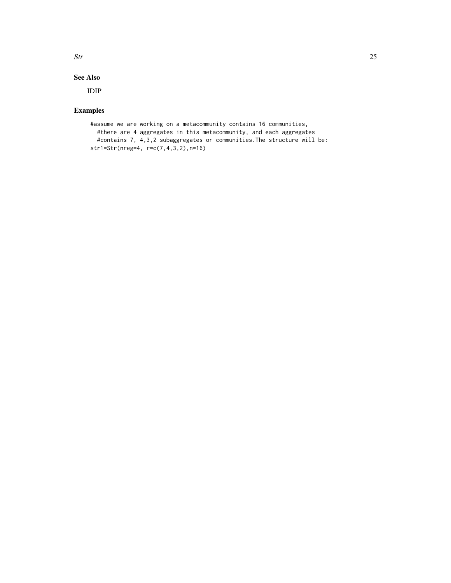# $\mathbf{S}$ tr  $\mathbf{S}$

# See Also

IDIP

```
#assume we are working on a metacommunity contains 16 communities,
 #there are 4 aggregates in this metacommunity, and each aggregates
 #contains 7, 4,3,2 subaggregates or communities.The structure will be:
str1=Str(nreg=4, r=c(7,4,3,2),n=16)
```